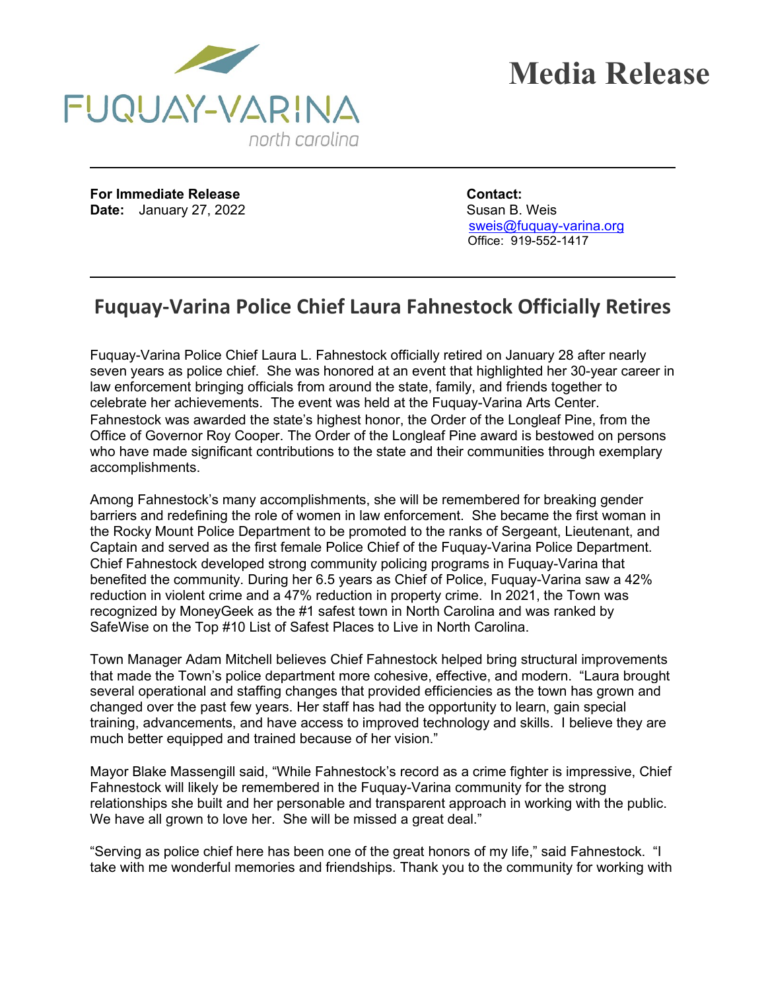



**For Immediate Release Contact: Date:** January 27, 2022 Susan B. Weis

sweis@fuguay-varina.org Office: 919-552-1417

## **Fuquay-Varina Police Chief Laura Fahnestock Officially Retires**

Fuquay-Varina Police Chief Laura L. Fahnestock officially retired on January 28 after nearly seven years as police chief. She was honored at an event that highlighted her 30-year career in law enforcement bringing officials from around the state, family, and friends together to celebrate her achievements. The event was held at the Fuquay-Varina Arts Center. Fahnestock was awarded the state's highest honor, the Order of the Longleaf Pine, from the Office of Governor Roy Cooper. The Order of the Longleaf Pine award is bestowed on persons who have made significant contributions to the state and their communities through exemplary accomplishments.

Among Fahnestock's many accomplishments, she will be remembered for breaking gender barriers and redefining the role of women in law enforcement. She became the first woman in the Rocky Mount Police Department to be promoted to the ranks of Sergeant, Lieutenant, and Captain and served as the first female Police Chief of the Fuquay-Varina Police Department. Chief Fahnestock developed strong community policing programs in Fuquay-Varina that benefited the community. During her 6.5 years as Chief of Police, Fuquay-Varina saw a 42% reduction in violent crime and a 47% reduction in property crime. In 2021, the Town was recognized by MoneyGeek as the #1 safest town in North Carolina and was ranked by SafeWise on the Top #10 List of Safest Places to Live in North Carolina.

Town Manager Adam Mitchell believes Chief Fahnestock helped bring structural improvements that made the Town's police department more cohesive, effective, and modern. "Laura brought several operational and staffing changes that provided efficiencies as the town has grown and changed over the past few years. Her staff has had the opportunity to learn, gain special training, advancements, and have access to improved technology and skills. I believe they are much better equipped and trained because of her vision."

Mayor Blake Massengill said, "While Fahnestock's record as a crime fighter is impressive, Chief Fahnestock will likely be remembered in the Fuquay-Varina community for the strong relationships she built and her personable and transparent approach in working with the public. We have all grown to love her. She will be missed a great deal."

"Serving as police chief here has been one of the great honors of my life," said Fahnestock. "I take with me wonderful memories and friendships. Thank you to the community for working with